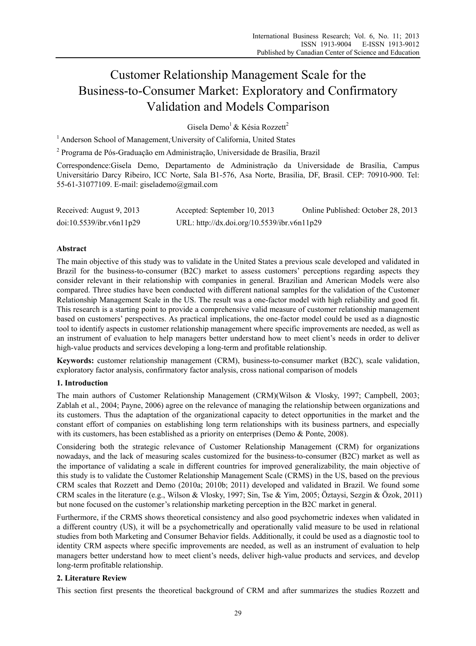# Customer Relationship Management Scale for the Business-to-Consumer Market: Exploratory and Confirmatory Validation and Models Comparison

Gisela Demo<sup>1</sup> & Késia Rozzett<sup>2</sup>

<sup>1</sup> Anderson School of Management, University of California, United States

2 Programa de Pós-Graduação em Administração, Universidade de Brasília, Brazil

Correspondence:Gisela Demo, Departamento de Administração da Universidade de Brasília, Campus Universitário Darcy Ribeiro, ICC Norte, Sala B1-576, Asa Norte, Brasilia, DF, Brasil. CEP: 70910-900. Tel: 55-61-31077109. E-mail: giselademo@gmail.com

| Received: August 9, 2013 | Accepted: September 10, 2013                | Online Published: October 28, 2013 |
|--------------------------|---------------------------------------------|------------------------------------|
| doi:10.5539/ibr.v6n11p29 | URL: http://dx.doi.org/10.5539/ibr.v6n11p29 |                                    |

# **Abstract**

The main objective of this study was to validate in the United States a previous scale developed and validated in Brazil for the business-to-consumer (B2C) market to assess customers' perceptions regarding aspects they consider relevant in their relationship with companies in general. Brazilian and American Models were also compared. Three studies have been conducted with different national samples for the validation of the Customer Relationship Management Scale in the US. The result was a one-factor model with high reliability and good fit. This research is a starting point to provide a comprehensive valid measure of customer relationship management based on customers' perspectives. As practical implications, the one-factor model could be used as a diagnostic tool to identify aspects in customer relationship management where specific improvements are needed, as well as an instrument of evaluation to help managers better understand how to meet client's needs in order to deliver high-value products and services developing a long-term and profitable relationship.

**Keywords:** customer relationship management (CRM), business-to-consumer market (B2C), scale validation, exploratory factor analysis, confirmatory factor analysis, cross national comparison of models

## **1. Introduction**

The main authors of Customer Relationship Management (CRM)(Wilson & Vlosky, 1997; Campbell, 2003; Zablah et al., 2004; Payne, 2006) agree on the relevance of managing the relationship between organizations and its customers. Thus the adaptation of the organizational capacity to detect opportunities in the market and the constant effort of companies on establishing long term relationships with its business partners, and especially with its customers, has been established as a priority on enterprises (Demo & Ponte, 2008).

Considering both the strategic relevance of Customer Relationship Management (CRM) for organizations nowadays, and the lack of measuring scales customized for the business-to-consumer (B2C) market as well as the importance of validating a scale in different countries for improved generalizability, the main objective of this study is to validate the Customer Relationship Management Scale (CRMS) in the US, based on the previous CRM scales that Rozzett and Demo (2010a; 2010b; 2011) developed and validated in Brazil. We found some CRM scales in the literature (e.g., Wilson & Vlosky, 1997; Sin, Tse & Yim, 2005; Öztaysi, Sezgin & Özok, 2011) but none focused on the customer's relationship marketing perception in the B2C market in general.

Furthermore, if the CRMS shows theoretical consistency and also good psychometric indexes when validated in a different country (US), it will be a psychometrically and operationally valid measure to be used in relational studies from both Marketing and Consumer Behavior fields. Additionally, it could be used as a diagnostic tool to identity CRM aspects where specific improvements are needed, as well as an instrument of evaluation to help managers better understand how to meet client's needs, deliver high-value products and services, and develop long-term profitable relationship.

## **2. Literature Review**

This section first presents the theoretical background of CRM and after summarizes the studies Rozzett and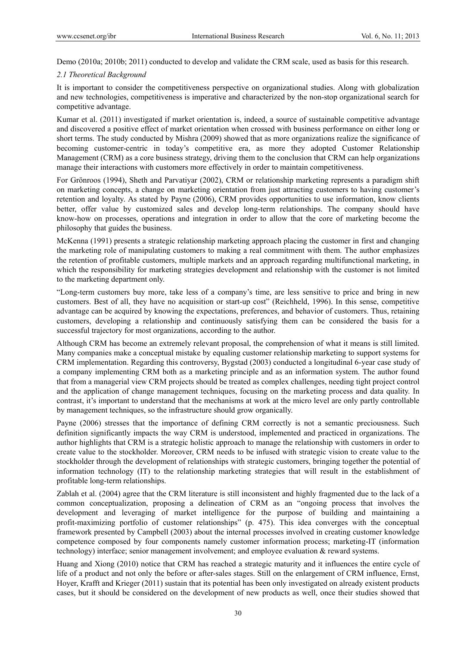Demo (2010a; 2010b; 2011) conducted to develop and validate the CRM scale, used as basis for this research.

#### *2.1 Theoretical Background*

It is important to consider the competitiveness perspective on organizational studies. Along with globalization and new technologies, competitiveness is imperative and characterized by the non-stop organizational search for competitive advantage.

Kumar et al. (2011) investigated if market orientation is, indeed, a source of sustainable competitive advantage and discovered a positive effect of market orientation when crossed with business performance on either long or short terms. The study conducted by Mishra (2009) showed that as more organizations realize the significance of becoming customer-centric in today's competitive era, as more they adopted Customer Relationship Management (CRM) as a core business strategy, driving them to the conclusion that CRM can help organizations manage their interactions with customers more effectively in order to maintain competitiveness.

For Grönroos (1994), Sheth and Parvatiyar (2002), CRM or relationship marketing represents a paradigm shift on marketing concepts, a change on marketing orientation from just attracting customers to having customer's retention and loyalty. As stated by Payne (2006), CRM provides opportunities to use information, know clients better, offer value by customized sales and develop long-term relationships. The company should have know-how on processes, operations and integration in order to allow that the core of marketing become the philosophy that guides the business.

McKenna (1991) presents a strategic relationship marketing approach placing the customer in first and changing the marketing role of manipulating customers to making a real commitment with them. The author emphasizes the retention of profitable customers, multiple markets and an approach regarding multifunctional marketing, in which the responsibility for marketing strategies development and relationship with the customer is not limited to the marketing department only.

"Long-term customers buy more, take less of a company's time, are less sensitive to price and bring in new customers. Best of all, they have no acquisition or start-up cost" (Reichheld, 1996). In this sense, competitive advantage can be acquired by knowing the expectations, preferences, and behavior of customers. Thus, retaining customers, developing a relationship and continuously satisfying them can be considered the basis for a successful trajectory for most organizations, according to the author.

Although CRM has become an extremely relevant proposal, the comprehension of what it means is still limited. Many companies make a conceptual mistake by equaling customer relationship marketing to support systems for CRM implementation. Regarding this controversy, Bygstad (2003) conducted a longitudinal 6-year case study of a company implementing CRM both as a marketing principle and as an information system. The author found that from a managerial view CRM projects should be treated as complex challenges, needing tight project control and the application of change management techniques, focusing on the marketing process and data quality. In contrast, it's important to understand that the mechanisms at work at the micro level are only partly controllable by management techniques, so the infrastructure should grow organically.

Payne (2006) stresses that the importance of defining CRM correctly is not a semantic preciousness. Such definition significantly impacts the way CRM is understood, implemented and practiced in organizations. The author highlights that CRM is a strategic holistic approach to manage the relationship with customers in order to create value to the stockholder. Moreover, CRM needs to be infused with strategic vision to create value to the stockholder through the development of relationships with strategic customers, bringing together the potential of information technology (IT) to the relationship marketing strategies that will result in the establishment of profitable long-term relationships.

Zablah et al. (2004) agree that the CRM literature is still inconsistent and highly fragmented due to the lack of a common conceptualization, proposing a delineation of CRM as an "ongoing process that involves the development and leveraging of market intelligence for the purpose of building and maintaining a profit-maximizing portfolio of customer relationships" (p. 475). This idea converges with the conceptual framework presented by Campbell (2003) about the internal processes involved in creating customer knowledge competence composed by four components namely customer information process; marketing-IT (information technology) interface; senior management involvement; and employee evaluation & reward systems.

Huang and Xiong (2010) notice that CRM has reached a strategic maturity and it influences the entire cycle of life of a product and not only the before or after-sales stages. Still on the enlargement of CRM influence, Ernst, Hoyer, Krafft and Krieger (2011) sustain that its potential has been only investigated on already existent products cases, but it should be considered on the development of new products as well, once their studies showed that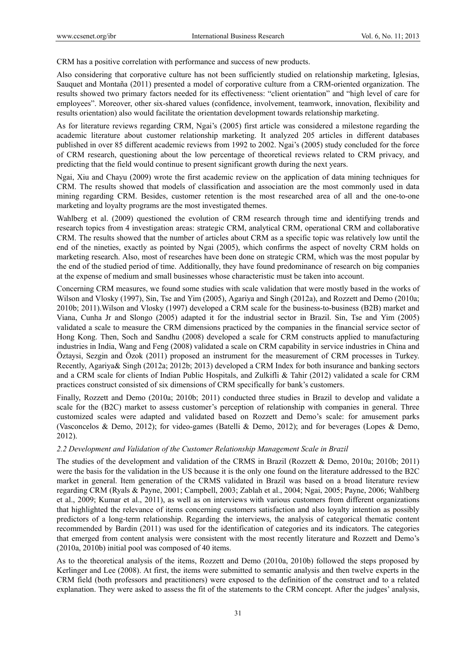CRM has a positive correlation with performance and success of new products.

Also considering that corporative culture has not been sufficiently studied on relationship marketing, Iglesias, Sauquet and Montaña (2011) presented a model of corporative culture from a CRM-oriented organization. The results showed two primary factors needed for its effectiveness: "client orientation" and "high level of care for employees". Moreover, other six-shared values (confidence, involvement, teamwork, innovation, flexibility and results orientation) also would facilitate the orientation development towards relationship marketing.

As for literature reviews regarding CRM, Ngai's (2005) first article was considered a milestone regarding the academic literature about customer relationship marketing. It analyzed 205 articles in different databases published in over 85 different academic reviews from 1992 to 2002. Ngai's (2005) study concluded for the force of CRM research, questioning about the low percentage of theoretical reviews related to CRM privacy, and predicting that the field would continue to present significant growth during the next years.

Ngai, Xiu and Chayu (2009) wrote the first academic review on the application of data mining techniques for CRM. The results showed that models of classification and association are the most commonly used in data mining regarding CRM. Besides, customer retention is the most researched area of all and the one-to-one marketing and loyalty programs are the most investigated themes.

Wahlberg et al. (2009) questioned the evolution of CRM research through time and identifying trends and research topics from 4 investigation areas: strategic CRM, analytical CRM, operational CRM and collaborative CRM. The results showed that the number of articles about CRM as a specific topic was relatively low until the end of the nineties, exactly as pointed by Ngai (2005), which confirms the aspect of novelty CRM holds on marketing research. Also, most of researches have been done on strategic CRM, which was the most popular by the end of the studied period of time. Additionally, they have found predominance of research on big companies at the expense of medium and small businesses whose characteristic must be taken into account.

Concerning CRM measures, we found some studies with scale validation that were mostly based in the works of Wilson and Vlosky (1997), Sin, Tse and Yim (2005), Agariya and Singh (2012a), and Rozzett and Demo (2010a; 2010b; 2011).Wilson and Vlosky (1997) developed a CRM scale for the business-to-business (B2B) market and Viana, Cunha Jr and Slongo (2005) adapted it for the industrial sector in Brazil. Sin, Tse and Yim (2005) validated a scale to measure the CRM dimensions practiced by the companies in the financial service sector of Hong Kong. Then, Soch and Sandhu (2008) developed a scale for CRM constructs applied to manufacturing industries in India, Wang and Feng (2008) validated a scale on CRM capability in service industries in China and Öztaysi, Sezgin and Özok (2011) proposed an instrument for the measurement of CRM processes in Turkey. Recently, Agariya& Singh (2012a; 2012b; 2013) developed a CRM Index for both insurance and banking sectors and a CRM scale for clients of Indian Public Hospitals, and Zulkifli & Tahir (2012) validated a scale for CRM practices construct consisted of six dimensions of CRM specifically for bank's customers.

Finally, Rozzett and Demo (2010a; 2010b; 2011) conducted three studies in Brazil to develop and validate a scale for the (B2C) market to assess customer's perception of relationship with companies in general. Three customized scales were adapted and validated based on Rozzett and Demo's scale: for amusement parks (Vasconcelos & Demo, 2012); for video-games (Batelli & Demo, 2012); and for beverages (Lopes & Demo, 2012).

## *2.2 Development and Validation of the Customer Relationship Management Scale in Brazil*

The studies of the development and validation of the CRMS in Brazil (Rozzett & Demo, 2010a; 2010b; 2011) were the basis for the validation in the US because it is the only one found on the literature addressed to the B2C market in general. Item generation of the CRMS validated in Brazil was based on a broad literature review regarding CRM (Ryals & Payne, 2001; Campbell, 2003; Zablah et al., 2004; Ngai, 2005; Payne, 2006; Wahlberg et al., 2009; Kumar et al., 2011), as well as on interviews with various customers from different organizations that highlighted the relevance of items concerning customers satisfaction and also loyalty intention as possibly predictors of a long-term relationship. Regarding the interviews, the analysis of categorical thematic content recommended by Bardin (2011) was used for the identification of categories and its indicators. The categories that emerged from content analysis were consistent with the most recently literature and Rozzett and Demo's (2010a, 2010b) initial pool was composed of 40 items.

As to the theoretical analysis of the items, Rozzett and Demo (2010a, 2010b) followed the steps proposed by Kerlinger and Lee (2008). At first, the items were submitted to semantic analysis and then twelve experts in the CRM field (both professors and practitioners) were exposed to the definition of the construct and to a related explanation. They were asked to assess the fit of the statements to the CRM concept. After the judges' analysis,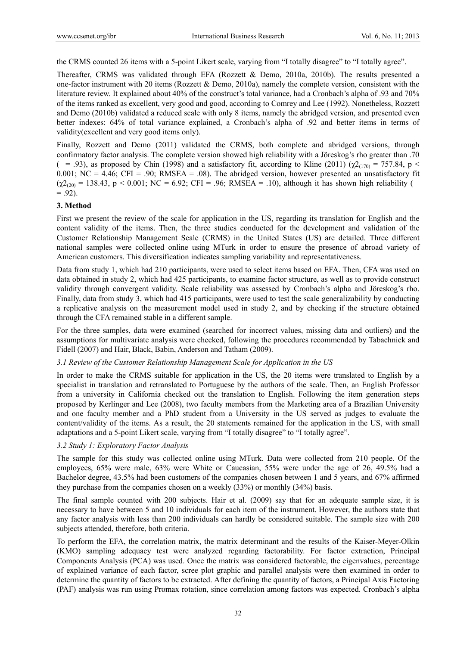the CRMS counted 26 items with a 5-point Likert scale, varying from "I totally disagree" to "I totally agree".

Thereafter, CRMS was validated through EFA (Rozzett & Demo, 2010a, 2010b). The results presented a one-factor instrument with 20 items (Rozzett & Demo, 2010a), namely the complete version, consistent with the literature review. It explained about 40% of the construct's total variance, had a Cronbach's alpha of .93 and 70% of the items ranked as excellent, very good and good, according to Comrey and Lee (1992). Nonetheless, Rozzett and Demo (2010b) validated a reduced scale with only 8 items, namely the abridged version, and presented even better indexes: 64% of total variance explained, a Cronbach's alpha of .92 and better items in terms of validity(excellent and very good items only).

Finally, Rozzett and Demo (2011) validated the CRMS, both complete and abridged versions, through confirmatory factor analysis. The complete version showed high reliability with a Jöreskog's rho greater than .70 (= .93), as proposed by Chin (1998) and a satisfactory fit, according to Kline (2011) ( $\chi^2(170) = 757.84$ , p < 0.001; NC = 4.46; CFI = .90; RMSEA = .08). The abridged version, however presented an unsatisfactory fit  $(\chi^2_{(20)} = 138.43, p \le 0.001; NC = 6.92; CFI = .96; RMSEA = .10)$ , although it has shown high reliability (  $= .92$ ).

## **3. Method**

First we present the review of the scale for application in the US, regarding its translation for English and the content validity of the items. Then, the three studies conducted for the development and validation of the Customer Relationship Management Scale (CRMS) in the United States (US) are detailed. Three different national samples were collected online using MTurk in order to ensure the presence of abroad variety of American customers. This diversification indicates sampling variability and representativeness.

Data from study 1, which had 210 participants, were used to select items based on EFA. Then, CFA was used on data obtained in study 2, which had 425 participants, to examine factor structure, as well as to provide construct validity through convergent validity. Scale reliability was assessed by Cronbach's alpha and Jöreskog's rho. Finally, data from study 3, which had 415 participants, were used to test the scale generalizability by conducting a replicative analysis on the measurement model used in study 2, and by checking if the structure obtained through the CFA remained stable in a different sample.

For the three samples, data were examined (searched for incorrect values, missing data and outliers) and the assumptions for multivariate analysis were checked, following the procedures recommended by Tabachnick and Fidell (2007) and Hair, Black, Babin, Anderson and Tatham (2009).

#### *3.1 Review of the Customer Relationship Management Scale for Application in the US*

In order to make the CRMS suitable for application in the US, the 20 items were translated to English by a specialist in translation and retranslated to Portuguese by the authors of the scale. Then, an English Professor from a university in California checked out the translation to English. Following the item generation steps proposed by Kerlinger and Lee (2008), two faculty members from the Marketing area of a Brazilian University and one faculty member and a PhD student from a University in the US served as judges to evaluate the content/validity of the items. As a result, the 20 statements remained for the application in the US, with small adaptations and a 5-point Likert scale, varying from "I totally disagree" to "I totally agree".

## *3.2 Study 1: Exploratory Factor Analysis*

The sample for this study was collected online using MTurk. Data were collected from 210 people. Of the employees, 65% were male, 63% were White or Caucasian, 55% were under the age of 26, 49.5% had a Bachelor degree, 43.5% had been customers of the companies chosen between 1 and 5 years, and 67% affirmed they purchase from the companies chosen on a weekly (33%) or monthly (34%) basis.

The final sample counted with 200 subjects. Hair et al. (2009) say that for an adequate sample size, it is necessary to have between 5 and 10 individuals for each item of the instrument. However, the authors state that any factor analysis with less than 200 individuals can hardly be considered suitable. The sample size with 200 subjects attended, therefore, both criteria.

To perform the EFA, the correlation matrix, the matrix determinant and the results of the Kaiser-Meyer-Olkin (KMO) sampling adequacy test were analyzed regarding factorability. For factor extraction, Principal Components Analysis (PCA) was used. Once the matrix was considered factorable, the eigenvalues, percentage of explained variance of each factor, scree plot graphic and parallel analysis were then examined in order to determine the quantity of factors to be extracted. After defining the quantity of factors, a Principal Axis Factoring (PAF) analysis was run using Promax rotation, since correlation among factors was expected. Cronbach's alpha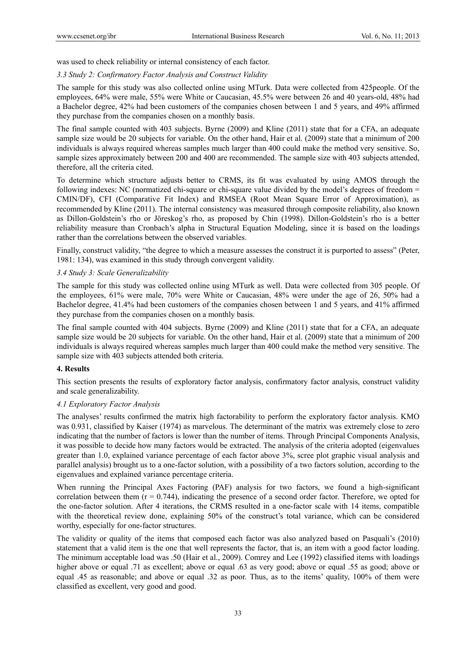was used to check reliability or internal consistency of each factor.

## *3.3 Study 2: Confirmatory Factor Analysis and Construct Validity*

The sample for this study was also collected online using MTurk. Data were collected from 425people. Of the employees, 64% were male, 55% were White or Caucasian, 45.5% were between 26 and 40 years-old, 48% had a Bachelor degree, 42% had been customers of the companies chosen between 1 and 5 years, and 49% affirmed they purchase from the companies chosen on a monthly basis.

The final sample counted with 403 subjects. Byrne (2009) and Kline (2011) state that for a CFA, an adequate sample size would be 20 subjects for variable. On the other hand, Hair et al. (2009) state that a minimum of 200 individuals is always required whereas samples much larger than 400 could make the method very sensitive. So, sample sizes approximately between 200 and 400 are recommended. The sample size with 403 subjects attended, therefore, all the criteria cited.

To determine which structure adjusts better to CRMS, its fit was evaluated by using AMOS through the following indexes: NC (normatized chi-square or chi-square value divided by the model's degrees of freedom = CMIN/DF), CFI (Comparative Fit Index) and RMSEA (Root Mean Square Error of Approximation), as recommended by Kline (2011). The internal consistency was measured through composite reliability, also known as Dillon-Goldstein's rho or Jöreskog's rho, as proposed by Chin (1998). Dillon-Goldstein's rho is a better reliability measure than Cronbach's alpha in Structural Equation Modeling, since it is based on the loadings rather than the correlations between the observed variables.

Finally, construct validity, "the degree to which a measure assesses the construct it is purported to assess" (Peter, 1981: 134), was examined in this study through convergent validity.

## *3.4 Study 3: Scale Generalizability*

The sample for this study was collected online using MTurk as well. Data were collected from 305 people. Of the employees, 61% were male, 70% were White or Caucasian, 48% were under the age of 26, 50% had a Bachelor degree, 41.4% had been customers of the companies chosen between 1 and 5 years, and 41% affirmed they purchase from the companies chosen on a monthly basis.

The final sample counted with 404 subjects. Byrne (2009) and Kline (2011) state that for a CFA, an adequate sample size would be 20 subjects for variable. On the other hand, Hair et al. (2009) state that a minimum of 200 individuals is always required whereas samples much larger than 400 could make the method very sensitive. The sample size with 403 subjects attended both criteria.

#### **4. Results**

This section presents the results of exploratory factor analysis, confirmatory factor analysis, construct validity and scale generalizability.

#### *4.1 Exploratory Factor Analysis*

The analyses' results confirmed the matrix high factorability to perform the exploratory factor analysis. KMO was 0.931, classified by Kaiser (1974) as marvelous. The determinant of the matrix was extremely close to zero indicating that the number of factors is lower than the number of items. Through Principal Components Analysis, it was possible to decide how many factors would be extracted. The analysis of the criteria adopted (eigenvalues greater than 1.0, explained variance percentage of each factor above 3%, scree plot graphic visual analysis and parallel analysis) brought us to a one-factor solution, with a possibility of a two factors solution, according to the eigenvalues and explained variance percentage criteria.

When running the Principal Axes Factoring (PAF) analysis for two factors, we found a high-significant correlation between them  $(r = 0.744)$ , indicating the presence of a second order factor. Therefore, we opted for the one-factor solution. After 4 iterations, the CRMS resulted in a one-factor scale with 14 items, compatible with the theoretical review done, explaining 50% of the construct's total variance, which can be considered worthy, especially for one-factor structures.

The validity or quality of the items that composed each factor was also analyzed based on Pasquali's (2010) statement that a valid item is the one that well represents the factor, that is, an item with a good factor loading. The minimum acceptable load was .50 (Hair et al., 2009). Comrey and Lee (1992) classified items with loadings higher above or equal .71 as excellent; above or equal .63 as very good; above or equal .55 as good; above or equal .45 as reasonable; and above or equal .32 as poor. Thus, as to the items' quality, 100% of them were classified as excellent, very good and good.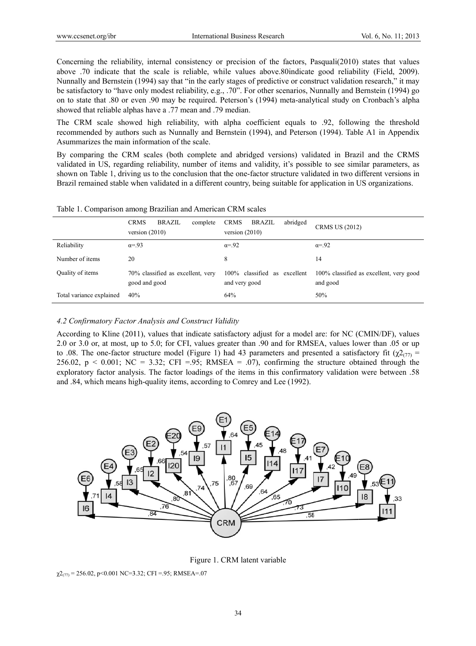Concerning the reliability, internal consistency or precision of the factors, Pasquali(2010) states that values above .70 indicate that the scale is reliable, while values above.80 indicate good reliability (Field, 2009). Nunnally and Bernstein (1994) say that "in the early stages of predictive or construct validation research," it may be satisfactory to "have only modest reliability, e.g., .70". For other scenarios, Nunnally and Bernstein (1994) go on to state that .80 or even .90 may be required. Peterson's (1994) meta-analytical study on Cronbach's alpha showed that reliable alphas have a .77 mean and .79 median.

The CRM scale showed high reliability, with alpha coefficient equals to .92, following the threshold recommended by authors such as Nunnally and Bernstein (1994), and Peterson (1994). Table A1 in Appendix Asummarizes the main information of the scale.

By comparing the CRM scales (both complete and abridged versions) validated in Brazil and the CRMS validated in US, regarding reliability, number of items and validity, it's possible to see similar parameters, as shown on Table 1, driving us to the conclusion that the one-factor structure validated in two different versions in Brazil remained stable when validated in a different country, being suitable for application in US organizations.

|                          | <b>CRMS</b><br><b>BRAZIL</b><br>complete<br>version $(2010)$ | <b>CRMS</b><br>BRAZIL<br>abridged<br>version $(2010)$ | <b>CRMS US (2012)</b>                               |  |
|--------------------------|--------------------------------------------------------------|-------------------------------------------------------|-----------------------------------------------------|--|
| Reliability              | $\alpha = 93$                                                | $\alpha = 92$                                         | $\alpha = 92$                                       |  |
| Number of items          | 20                                                           | 8                                                     | 14                                                  |  |
| Quality of items         | 70% classified as excellent, very<br>good and good           | $100\%$ classified as<br>excellent<br>and very good   | 100% classified as excellent, very good<br>and good |  |
| Total variance explained | 40%                                                          | 64%                                                   | 50%                                                 |  |

Table 1. Comparison among Brazilian and American CRM scales

#### *4.2 Confir rmatory Factor r Analysis and d Construct Val lidity*

According to Kline (2011), values that indicate satisfactory adjust for a model are: for NC (CMIN/DF), values 2.0 or 3.0 or, at most, up to 5.0; for CFI, values greater than .90 and for RMSEA, values lower than .05 or up to .08. The one-factor structure model (Figure 1) had 43 parameters and presented a satisfactory fit ( $\chi^2$ <sub>(77)</sub> =  $256.02$ ,  $p < 0.001$ ; NC = 3.32; CFI =.95; RMSEA = .07), confirming the structure obtained through the exploratory factor analysis. The factor loadings of the items in this confirmatory validation were between .58 and .84, which means high-quality items, according to Comrey and Lee (1992).



Figure 1. CRM latent variable

 $\chi^{2}$ <sub>(77)</sub> = 256.02, p<0.001 NC=3.32; CFI =.95; RMSEA=.07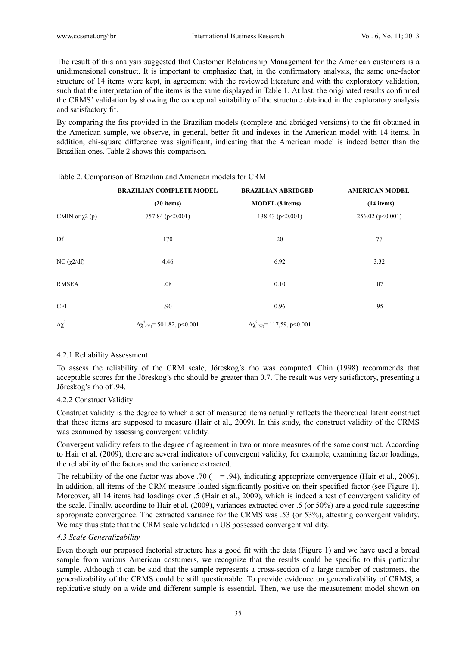The result of this analysis suggested that Customer Relationship Management for the American customers is a unidimensional construct. It is important to emphasize that, in the confirmatory analysis, the same one-factor structure of 14 items were kept, in agreement with the reviewed literature and with the exploratory validation, such that the interpretation of the items is the same displayed in Table 1. At last, the originated results confirmed the CRMS' validation by showing the conceptual suitability of the structure obtained in the exploratory analysis and satisfactory fit.

By comparing the fits provided in the Brazilian models (complete and abridged versions) to the fit obtained in the American sample, we observe, in general, better fit and indexes in the American model with 14 items. In addition, chi-square difference was significant, indicating that the American model is indeed better than the Brazilian ones. Table 2 shows this comparison.

|                      | <b>BRAZILIAN COMPLETE MODEL</b>                     | <b>BRAZILIAN ABRIDGED</b>                | <b>AMERICAN MODEL</b> |  |
|----------------------|-----------------------------------------------------|------------------------------------------|-----------------------|--|
|                      | $(20$ items)                                        | <b>MODEL</b> (8 items)                   | $(14$ items)          |  |
| CMIN or $\chi^2$ (p) | 757.84 (p<0.001)                                    | 138.43 ( $p<0.001$ )                     | 256.02 ( $p<0.001$ )  |  |
| Df                   | 170                                                 | 20                                       | 77                    |  |
| NC $(\chi 2/df)$     | 4.46                                                | 6.92                                     | 3.32                  |  |
| <b>RMSEA</b>         | .08                                                 | 0.10                                     | .07                   |  |
| <b>CFI</b>           | .90                                                 | 0.96                                     | .95                   |  |
| $\Delta \chi^2$      | $\Delta \chi^2$ <sub>(93)</sub> = 501.82, p < 0.001 | $\Delta \chi^2_{(57)} = 117,59, p<0.001$ |                       |  |

#### Table 2. Comparison of Brazilian and American models for CRM

#### 4.2.1 Reliability Assessment

To assess the reliability of the CRM scale, Jöreskog's rho was computed. Chin (1998) recommends that acceptable scores for the Jöreskog's rho should be greater than 0.7. The result was very satisfactory, presenting a Jöreskog's rho of .94.

#### 4.2.2 Construct Validity

Construct validity is the degree to which a set of measured items actually reflects the theoretical latent construct that those items are supposed to measure (Hair et al., 2009). In this study, the construct validity of the CRMS was examined by assessing convergent validity.

Convergent validity refers to the degree of agreement in two or more measures of the same construct. According to Hair et al. (2009), there are several indicators of convergent validity, for example, examining factor loadings, the reliability of the factors and the variance extracted.

The reliability of the one factor was above .70 ( $= .94$ ), indicating appropriate convergence (Hair et al., 2009). In addition, all items of the CRM measure loaded significantly positive on their specified factor (see Figure 1). Moreover, all 14 items had loadings over .5 (Hair et al., 2009), which is indeed a test of convergent validity of the scale. Finally, according to Hair et al. (2009), variances extracted over .5 (or 50%) are a good rule suggesting appropriate convergence. The extracted variance for the CRMS was .53 (or 53%), attesting convergent validity. We may thus state that the CRM scale validated in US possessed convergent validity.

#### *4.3 Scale Generalizability*

Even though our proposed factorial structure has a good fit with the data (Figure 1) and we have used a broad sample from various American costumers, we recognize that the results could be specific to this particular sample. Although it can be said that the sample represents a cross-section of a large number of customers, the generalizability of the CRMS could be still questionable. To provide evidence on generalizability of CRMS, a replicative study on a wide and different sample is essential. Then, we use the measurement model shown on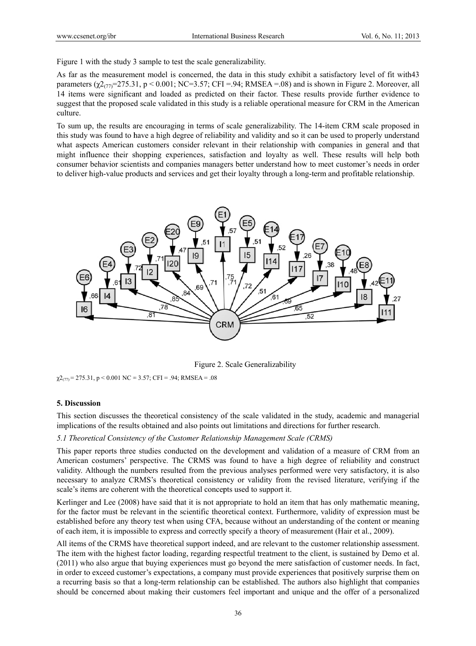Figure 1 with the study 3 sample to test the scale generalizability.

As far as the measurement model is concerned, the data in this study exhibit a satisfactory level of fit with43 parameters  $(\chi^2(\gamma)$ =275.31, p < 0.001; NC=3.57; CFI =.94; RMSEA =.08) and is shown in Figure 2. Moreover, all 14 items were significant and loaded as predicted on their factor. These results provide further evidence to suggest that the proposed scale validated in this study is a reliable operational measure for CRM in the American culture.

To sum up, the results are encouraging in terms of scale generalizability. The 14-item CRM scale proposed in this study was found to have a high degree of reliability and validity and so it can be used to properly understand what aspects American customers consider relevant in their relationship with companies in general and that might influence their shopping experiences, satisfaction and loyalty as well. These results will help both consumer behavior scientists and companies managers better understand how to meet customer's needs in order to deliver high-value products and services and get their loyalty through a long-term and profitable relationship.



Figure 2. Scale Generalizability

 $\chi^{2}$ <sub>(77)</sub> = 275.31, p < 0.001 NC = 3.57; CFI = .94; RMSEA = .08

#### **5. Discuss sion**

This section discusses the theoretical consistency of the scale validated in the study, academic and managerial implications of the results obtained and also points out limitations and directions for further research.

#### 5.1 Theoretical Consistency of the Customer Relationship Management Scale (CRMS)

This paper reports three studies conducted on the development and validation of a measure of CRM from an American costumers' perspective. The CRMS was found to have a high degree of reliability and construct validity. Although the numbers resulted from the previous analyses performed were very satisfactory, it is also necessary to analyze CRMS's theoretical consistency or validity from the revised literature, verifying if the scale's items are coherent with the theoretical concepts used to support it.

Kerlinger and Lee (2008) have said that it is not appropriate to hold an item that has only mathematic meaning, for the factor must be relevant in the scientific theoretical context. Furthermore, validity of expression must be established before any theory test when using CFA, because without an understanding of the content or meaning of each item, it is impossible to express and correctly specify a theory of measurement (Hair et al., 2009).

All items of the CRMS have theoretical support indeed, and are relevant to the customer relationship assessment. The item with the highest factor loading, regarding respectful treatment to the client, is sustained by Demo et al. (2011) who also argue that buying experiences must go beyond the mere satisfaction of customer needs. In fact, in order to exceed customer's expectations, a company must provide experiences that positively surprise them on a recurring basis so that a long-term relationship can be established. The authors also highlight that companies should be concerned about making their customers feel important and unique and the offer of a personalized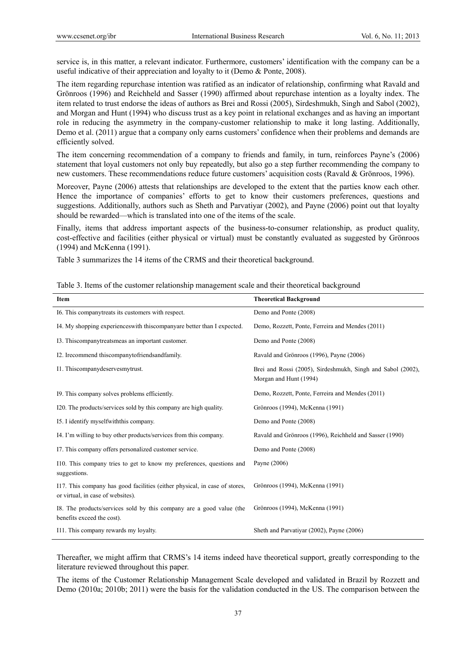service is, in this matter, a relevant indicator. Furthermore, customers' identification with the company can be a useful indicative of their appreciation and loyalty to it (Demo & Ponte, 2008).

The item regarding repurchase intention was ratified as an indicator of relationship, confirming what Ravald and Grönroos (1996) and Reichheld and Sasser (1990) affirmed about repurchase intention as a loyalty index. The item related to trust endorse the ideas of authors as Brei and Rossi (2005), Sirdeshmukh, Singh and Sabol (2002), and Morgan and Hunt (1994) who discuss trust as a key point in relational exchanges and as having an important role in reducing the asymmetry in the company-customer relationship to make it long lasting. Additionally, Demo et al. (2011) argue that a company only earns customers' confidence when their problems and demands are efficiently solved.

The item concerning recommendation of a company to friends and family, in turn, reinforces Payne's (2006) statement that loyal customers not only buy repeatedly, but also go a step further recommending the company to new customers. These recommendations reduce future customers' acquisition costs (Ravald & Grönroos, 1996).

Moreover, Payne (2006) attests that relationships are developed to the extent that the parties know each other. Hence the importance of companies' efforts to get to know their customers preferences, questions and suggestions. Additionally, authors such as Sheth and Parvatiyar (2002), and Payne (2006) point out that loyalty should be rewarded—which is translated into one of the items of the scale.

Finally, items that address important aspects of the business-to-consumer relationship, as product quality, cost-effective and facilities (either physical or virtual) must be constantly evaluated as suggested by Grönroos (1994) and McKenna (1991).

Table 3 summarizes the 14 items of the CRMS and their theoretical background.

| Item                                                                                                            | <b>Theoretical Background</b>                                                         |
|-----------------------------------------------------------------------------------------------------------------|---------------------------------------------------------------------------------------|
| 16. This companytreats its customers with respect.                                                              | Demo and Ponte (2008)                                                                 |
| I4. My shopping experiences with this companyare better than I expected.                                        | Demo, Rozzett, Ponte, Ferreira and Mendes (2011)                                      |
| 13. This company treats meas an important customer.                                                             | Demo and Ponte (2008)                                                                 |
| I2. Irecommend this company to friends and family.                                                              | Ravald and Grönroos (1996), Payne (2006)                                              |
| I1. Thiscompanydeservesmytrust.                                                                                 | Brei and Rossi (2005), Sirdeshmukh, Singh and Sabol (2002),<br>Morgan and Hunt (1994) |
| 19. This company solves problems efficiently.                                                                   | Demo, Rozzett, Ponte, Ferreira and Mendes (2011)                                      |
| I20. The products/services sold by this company are high quality.                                               | Grönroos (1994), McKenna (1991)                                                       |
| 15. I identify myself with this company.                                                                        | Demo and Ponte (2008)                                                                 |
| I4. I'm willing to buy other products/services from this company.                                               | Ravald and Grönroos (1996), Reichheld and Sasser (1990)                               |
| 17. This company offers personalized customer service.                                                          | Demo and Ponte (2008)                                                                 |
| 110. This company tries to get to know my preferences, questions and<br>suggestions.                            | Payne (2006)                                                                          |
| I17. This company has good facilities (either physical, in case of stores,<br>or virtual, in case of websites). | Grönroos (1994), McKenna (1991)                                                       |
| I8. The products/services sold by this company are a good value (the<br>benefits exceed the cost).              | Grönroos (1994), McKenna (1991)                                                       |
| I11. This company rewards my loyalty.                                                                           | Sheth and Parvatiyar (2002), Payne (2006)                                             |

Thereafter, we might affirm that CRMS's 14 items indeed have theoretical support, greatly corresponding to the literature reviewed throughout this paper.

The items of the Customer Relationship Management Scale developed and validated in Brazil by Rozzett and Demo (2010a; 2010b; 2011) were the basis for the validation conducted in the US. The comparison between the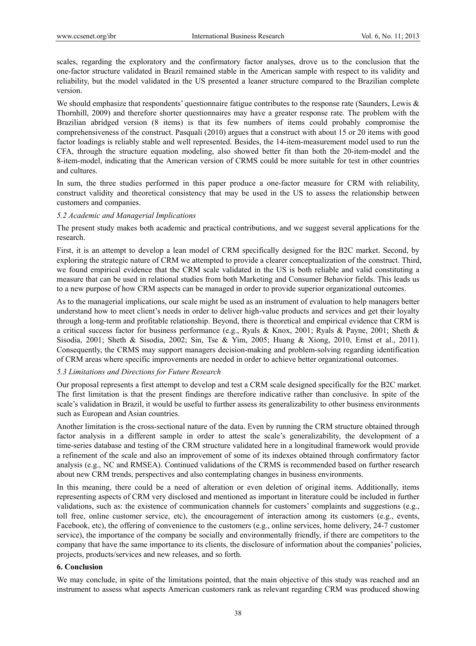scales, regarding the exploratory and the confirmatory factor analyses, drove us to the conclusion that the one-factor structure validated in Brazil remained stable in the American sample with respect to its validity and reliability, but the model validated in the US presented a leaner structure compared to the Brazilian complete version.

We should emphasize that respondents' questionnaire fatigue contributes to the response rate (Saunders, Lewis & Thornhill, 2009) and therefore shorter questionnaires may have a greater response rate. The problem with the Brazilian abridged version (8 items) is that its few numbers of items could probably compromise the comprehensiveness of the construct. Pasquali (2010) argues that a construct with about 15 or 20 items with good factor loadings is reliably stable and well represented. Besides, the 14-item-measurement model used to run the CFA, through the structure equation modeling, also showed better fit than both the 20-item-model and the 8-item-model, indicating that the American version of CRMS could be more suitable for test in other countries and cultures.

In sum, the three studies performed in this paper produce a one-factor measure for CRM with reliability, construct validity and theoretical consistency that may be used in the US to assess the relationship between customers and companies.

#### *5.2 Academic and Managerial Implications*

The present study makes both academic and practical contributions, and we suggest several applications for the research.

First, it is an attempt to develop a lean model of CRM specifically designed for the B2C market. Second, by exploring the strategic nature of CRM we attempted to provide a clearer conceptualization of the construct. Third, we found empirical evidence that the CRM scale validated in the US is both reliable and valid constituting a measure that can be used in relational studies from both Marketing and Consumer Behavior fields. This leads us to a new purpose of how CRM aspects can be managed in order to provide superior organizational outcomes.

As to the managerial implications, our scale might be used as an instrument of evaluation to help managers better understand how to meet client's needs in order to deliver high-value products and services and get their loyalty through a long-term and profitable relationship. Beyond, there is theoretical and empirical evidence that CRM is a critical success factor for business performance (e.g., Ryals & Knox, 2001; Ryals & Payne, 2001; Sheth & Sisodia, 2001; Sheth & Sisodia, 2002; Sin, Tse & Yim, 2005; Huang & Xiong, 2010, Ernst et al., 2011). Consequently, the CRMS may support managers decision-making and problem-solving regarding identification of CRM areas where specific improvements are needed in order to achieve better organizational outcomes.

#### *5.3 Limitations and Directions for Future Research*

Our proposal represents a first attempt to develop and test a CRM scale designed specifically for the B2C market. The first limitation is that the present findings are therefore indicative rather than conclusive. In spite of the scale's validation in Brazil, it would be useful to further assess its generalizability to other business environments such as European and Asian countries.

Another limitation is the cross-sectional nature of the data. Even by running the CRM structure obtained through factor analysis in a different sample in order to attest the scale's generalizability, the development of a time-series database and testing of the CRM structure validated here in a longitudinal framework would provide a refinement of the scale and also an improvement of some of its indexes obtained through confirmatory factor analysis (e.g., NC and RMSEA). Continued validations of the CRMS is recommended based on further research about new CRM trends, perspectives and also contemplating changes in business environments.

In this meaning, there could be a need of alteration or even deletion of original items. Additionally, items representing aspects of CRM very disclosed and mentioned as important in literature could be included in further validations, such as: the existence of communication channels for customers' complaints and suggestions (e.g., toll free, online customer service, etc), the encouragement of interaction among its customers (e.g., events, Facebook, etc), the offering of convenience to the customers (e.g., online services, home delivery, 24-7 customer service), the importance of the company be socially and environmentally friendly, if there are competitors to the company that have the same importance to its clients, the disclosure of information about the companies' policies, projects, products/services and new releases, and so forth.

#### **6. Conclusion**

We may conclude, in spite of the limitations pointed, that the main objective of this study was reached and an instrument to assess what aspects American customers rank as relevant regarding CRM was produced showing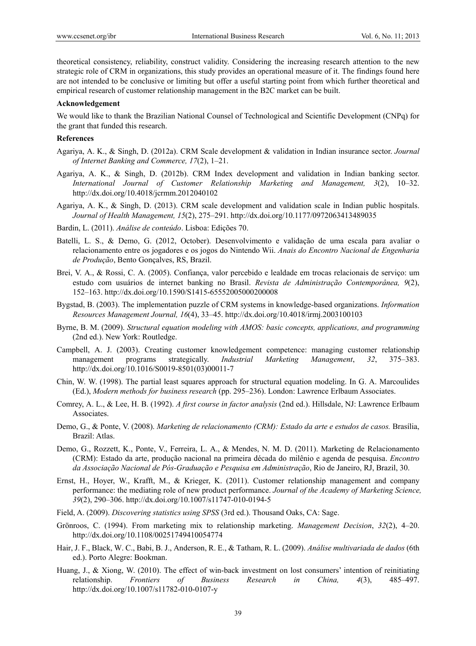theoretical consistency, reliability, construct validity. Considering the increasing research attention to the new strategic role of CRM in organizations, this study provides an operational measure of it. The findings found here are not intended to be conclusive or limiting but offer a useful starting point from which further theoretical and empirical research of customer relationship management in the B2C market can be built.

#### **Acknowledgement**

We would like to thank the Brazilian National Counsel of Technological and Scientific Development (CNPq) for the grant that funded this research.

#### **References**

- Agariya, A. K., & Singh, D. (2012a). CRM Scale development & validation in Indian insurance sector. *Journal of Internet Banking and Commerce, 17*(2), 1–21.
- Agariya, A. K., & Singh, D. (2012b). CRM Index development and validation in Indian banking sector. *International Journal of Customer Relationship Marketing and Management, 3*(2), 10–32. http://dx.doi.org/10.4018/jcrmm.2012040102
- Agariya, A. K., & Singh, D. (2013). CRM scale development and validation scale in Indian public hospitals. *Journal of Health Management, 15*(2), 275–291. http://dx.doi.org/10.1177/0972063413489035
- Bardin, L. (2011). *Análise de conteúdo*. Lisboa: Edições 70.
- Batelli, L. S., & Demo, G. (2012, October). Desenvolvimento e validação de uma escala para avaliar o relacionamento entre os jogadores e os jogos do Nintendo Wii. *Anais do Encontro Nacional de Engenharia de Produção*, Bento Gonçalves, RS, Brazil.
- Brei, V. A., & Rossi, C. A. (2005). Confiança, valor percebido e lealdade em trocas relacionais de serviço: um estudo com usuários de internet banking no Brasil. *Revista de Administração Contemporânea, 9*(2), 152–163. http://dx.doi.org/10.1590/S1415-65552005000200008
- Bygstad, B. (2003). The implementation puzzle of CRM systems in knowledge-based organizations. *Information Resources Management Journal, 16*(4), 33–45. http://dx.doi.org/10.4018/irmj.2003100103
- Byrne, B. M. (2009). *Structural equation modeling with AMOS: basic concepts, applications, and programming* (2nd ed.). New York: Routledge.
- Campbell, A. J. (2003). Creating customer knowledgement competence: managing customer relationship management programs strategically. *Industrial Marketing Management*, *32*, 375–383. http://dx.doi.org/10.1016/S0019-8501(03)00011-7
- Chin, W. W. (1998). The partial least squares approach for structural equation modeling. In G. A. Marcoulides (Ed.), *Modern methods for business research* (pp. 295–236). London: Lawrence Erlbaum Associates.
- Comrey, A. L., & Lee, H. B. (1992). *A first course in factor analysis* (2nd ed.). Hillsdale, NJ: Lawrence Erlbaum Associates.
- Demo, G., & Ponte, V. (2008). *Marketing de relacionamento (CRM): Estado da arte e estudos de casos.* Brasília, Brazil: Atlas.
- Demo, G., Rozzett, K., Ponte, V., Ferreira, L. A., & Mendes, N. M. D. (2011). Marketing de Relacionamento (CRM): Estado da arte, produção nacional na primeira década do milênio e agenda de pesquisa. *Encontro da Associação Nacional de Pós-Graduação e Pesquisa em Administração*, Rio de Janeiro, RJ, Brazil, 30.
- Ernst, H., Hoyer, W., Krafft, M., & Krieger, K. (2011). Customer relationship management and company performance: the mediating role of new product performance. *Journal of the Academy of Marketing Science, 39*(2), 290–306. http://dx.doi.org/10.1007/s11747-010-0194-5
- Field, A. (2009). *Discovering statistics using SPSS* (3rd ed.). Thousand Oaks, CA: Sage.
- Grönroos, C. (1994). From marketing mix to relationship marketing. *Management Decision*, *32*(2), 4–20. http://dx.doi.org/10.1108/00251749410054774
- Hair, J. F., Black, W. C., Babi, B. J., Anderson, R. E., & Tatham, R. L. (2009). *Análise multivariada de dados* (6th ed.). Porto Alegre: Bookman.
- Huang, J., & Xiong, W. (2010). The effect of win-back investment on lost consumers' intention of reinitiating relationship. *Frontiers of Business Research in China, 4*(3), 485–497. http://dx.doi.org/10.1007/s11782-010-0107-y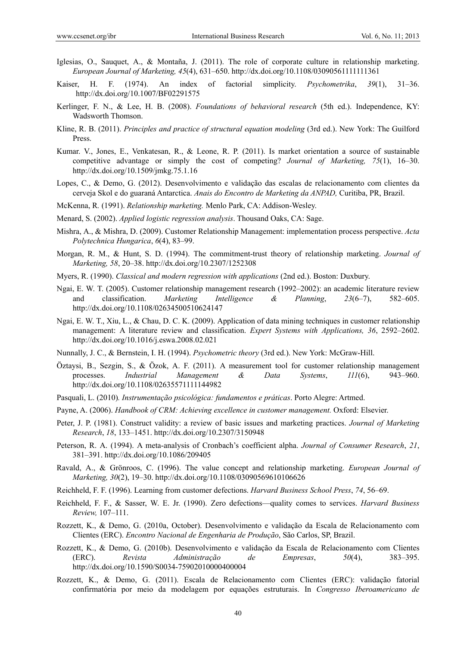- Iglesias, O., Sauquet, A., & Montaña, J. (2011). The role of corporate culture in relationship marketing. *European Journal of Marketing, 45*(4), 631–650. http://dx.doi.org/10.1108/03090561111111361
- Kaiser, H. F. (1974). An index of factorial simplicity. *Psychometrika*, *39*(1), 31–36. http://dx.doi.org/10.1007/BF02291575
- Kerlinger, F. N., & Lee, H. B. (2008). *Foundations of behavioral research* (5th ed.). Independence, KY: Wadsworth Thomson.
- Kline, R. B. (2011). *Principles and practice of structural equation modeling* (3rd ed.). New York: The Guilford Press.
- Kumar. V., Jones, E., Venkatesan, R., & Leone, R. P. (2011). Is market orientation a source of sustainable competitive advantage or simply the cost of competing? *Journal of Marketing, 75*(1), 16–30. http://dx.doi.org/10.1509/jmkg.75.1.16
- Lopes, C., & Demo, G. (2012). Desenvolvimento e validação das escalas de relacionamento com clientes da cerveja Skol e do guaraná Antarctica. *Anais do Encontro de Marketing da ANPAD,* Curitiba, PR, Brazil.
- McKenna, R*.* (1991). *Relationship marketing.* Menlo Park, CA: Addison-Wesley.
- Menard, S. (2002). *Applied logistic regression analysis*. Thousand Oaks, CA: Sage.
- Mishra, A., & Mishra, D. (2009). Customer Relationship Management: implementation process perspective. *Acta Polytechnica Hungarica*, *6*(4), 83–99.
- Morgan, R. M., & Hunt, S. D. (1994). The commitment-trust theory of relationship marketing. *Journal of Marketing, 58*, 20–38. http://dx.doi.org/10.2307/1252308
- Myers, R. (1990). *Classical and modern regression with applications* (2nd ed.). Boston: Duxbury.
- Ngai, E. W. T. (2005). Customer relationship management research (1992–2002): an academic literature review and classification. *Marketing Intelligence & Planning*, *23*(6–7), 582–605. http://dx.doi.org/10.1108/02634500510624147
- Ngai, E. W. T., Xiu, L., & Chau, D. C. K. (2009). Application of data mining techniques in customer relationship management: A literature review and classification. *Expert Systems with Applications, 36*, 2592–2602. http://dx.doi.org/10.1016/j.eswa.2008.02.021
- Nunnally, J. C., & Bernstein, I. H. (1994). *Psychometric theory* (3rd ed.). New York: McGraw-Hill.
- Öztaysi, B., Sezgin, S., & Özok, A. F. (2011). A measurement tool for customer relationship management processes. *Industrial Management & Data Systems*, *111*(6), 943–960. http://dx.doi.org/10.1108/02635571111144982
- Pasquali, L. (2010)*. Instrumentação psicológica: fundamentos e práticas*. Porto Alegre: Artmed.
- Payne, A. (2006). *Handbook of CRM: Achieving excellence in customer management*. Oxford: Elsevier.
- Peter, J. P. (1981). Construct validity: a review of basic issues and marketing practices. *Journal of Marketing Research*, *18*, 133–1451. http://dx.doi.org/10.2307/3150948
- Peterson, R. A. (1994). A meta-analysis of Cronbach's coefficient alpha. *Journal of Consumer Research*, *21*, 381–391. http://dx.doi.org/10.1086/209405
- Ravald, A., & Grönroos, C. (1996). The value concept and relationship marketing. *European Journal of Marketing, 30*(2), 19–30. http://dx.doi.org/10.1108/03090569610106626
- Reichheld, F. F. (1996). Learning from customer defections. *Harvard Business School Press*, *74*, 56–69.
- Reichheld, F. F., & Sasser, W. E. Jr. (1990). Zero defections—quality comes to services. *Harvard Business Review,* 107–111.
- Rozzett, K., & Demo, G. (2010a, October). Desenvolvimento e validação da Escala de Relacionamento com Clientes (ERC). *Encontro Nacional de Engenharia de Produção*, São Carlos, SP, Brazil.
- Rozzett, K., & Demo, G. (2010b). Desenvolvimento e validação da Escala de Relacionamento com Clientes (ERC). *Revista Administração de Empresas*, *50*(4), 383–395. http://dx.doi.org/10.1590/S0034-75902010000400004
- Rozzett, K., & Demo, G. (2011). Escala de Relacionamento com Clientes (ERC): validação fatorial confirmatória por meio da modelagem por equações estruturais. In *Congresso Iberoamericano de*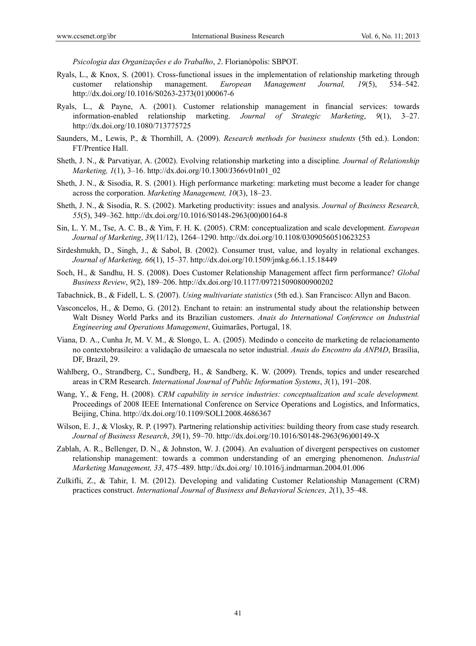*Psicologia das Organizações e do Trabalho*, *2*. Florianópolis: SBPOT.

- Ryals, L., & Knox, S. (2001). Cross-functional issues in the implementation of relationship marketing through customer relationship management. *European Management Journal, 19*(5), 534–542. http://dx.doi.org/10.1016/S0263-2373(01)00067-6
- Ryals, L., & Payne, A. (2001). Customer relationship management in financial services: towards information-enabled relationship marketing. *Journal of Strategic Marketing*, *9*(1), 3–27. http://dx.doi.org/10.1080/713775725
- Saunders, M., Lewis, P., & Thornhill, A. (2009). *Research methods for business students* (5th ed.). London: FT/Prentice Hall.
- Sheth, J. N., & Parvatiyar, A. (2002). Evolving relationship marketing into a discipline*. Journal of Relationship Marketing, 1*(1), 3–16. http://dx.doi.org/10.1300/J366v01n01\_02
- Sheth, J. N., & Sisodia, R. S. (2001). High performance marketing: marketing must become a leader for change across the corporation. *Marketing Management, 10*(3), 18–23.
- Sheth, J. N., & Sisodia, R. S. (2002). Marketing productivity: issues and analysis. *Journal of Business Research, 55*(5), 349–362. http://dx.doi.org/10.1016/S0148-2963(00)00164-8
- Sin, L. Y. M., Tse, A. C. B., & Yim, F. H. K. (2005). CRM: conceptualization and scale development. *European Journal of Marketing*, *39*(11/12), 1264–1290. http://dx.doi.org/10.1108/03090560510623253
- Sirdeshmukh, D., Singh, J., & Sabol, B. (2002). Consumer trust, value, and loyalty in relational exchanges. *Journal of Marketing, 66*(1), 15–37. http://dx.doi.org/10.1509/jmkg.66.1.15.18449
- Soch, H., & Sandhu, H. S. (2008). Does Customer Relationship Management affect firm performance? *Global Business Review*, *9*(2), 189–206. http://dx.doi.org/10.1177/097215090800900202
- Tabachnick, B., & Fidell, L. S. (2007). *Using multivariate statistics* (5th ed.). San Francisco: Allyn and Bacon.
- Vasconcelos, H., & Demo, G. (2012). Enchant to retain: an instrumental study about the relationship between Walt Disney World Parks and its Brazilian customers. *Anais do International Conference on Industrial Engineering and Operations Management*, Guimarães, Portugal, 18.
- Viana, D. A., Cunha Jr, M. V. M., & Slongo, L. A. (2005). Medindo o conceito de marketing de relacionamento no contextobrasileiro: a validação de umaescala no setor industrial. *Anais do Encontro da ANPAD*, Brasília, DF, Brazil, 29.
- Wahlberg, O., Strandberg, C., Sundberg, H., & Sandberg, K. W. (2009). Trends, topics and under researched areas in CRM Research. *International Journal of Public Information Systems*, *3*(1), 191–208.
- Wang, Y., & Feng, H. (2008). *CRM capability in service industries: conceptualization and scale development.* Proceedings of 2008 IEEE International Conference on Service Operations and Logistics, and Informatics, Beijing, China. http://dx.doi.org/10.1109/SOLI.2008.4686367
- Wilson, E. J., & Vlosky, R. P. (1997). Partnering relationship activities: building theory from case study research. *Journal of Business Research*, *39*(1), 59–70. http://dx.doi.org/10.1016/S0148-2963(96)00149-X
- Zablah, A. R., Bellenger, D. N., & Johnston, W. J. (2004). An evaluation of divergent perspectives on customer relationship management: towards a common understanding of an emerging phenomenon. *Industrial Marketing Management, 33*, 475–489. http://dx.doi.org/ 10.1016/j.indmarman.2004.01.006
- Zulkifli, Z., & Tahir, I. M. (2012). Developing and validating Customer Relationship Management (CRM) practices construct. *International Journal of Business and Behavioral Sciences, 2*(1), 35–48.